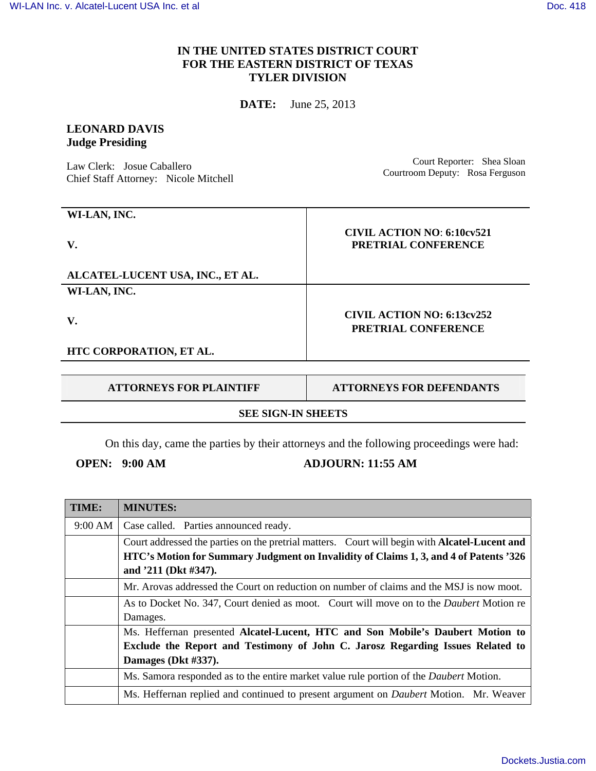## **IN THE UNITED STATES DISTRICT COURT FOR THE EASTERN DISTRICT OF TEXAS TYLER DIVISION**

**DATE:** June 25, 2013

# **LEONARD DAVIS Judge Presiding**

Law Clerk: Josue Caballero Chief Staff Attorney: Nicole Mitchell

Court Reporter: Shea Sloan Courtroom Deputy: Rosa Ferguson

| WI-LAN, INC.                     |                                                          |
|----------------------------------|----------------------------------------------------------|
| V.                               | <b>CIVIL ACTION NO: 6:10cv521</b><br>PRETRIAL CONFERENCE |
| ALCATEL-LUCENT USA, INC., ET AL. |                                                          |
| WI-LAN, INC.                     |                                                          |
| V.                               | <b>CIVIL ACTION NO: 6:13cv252</b><br>PRETRIAL CONFERENCE |
| HTC CORPORATION, ET AL.          |                                                          |

**ATTORNEYS FOR PLAINTIFF ATTORNEYS FOR DEFENDANTS** 

### **SEE SIGN-IN SHEETS**

On this day, came the parties by their attorneys and the following proceedings were had:

# **OPEN:** 9:00 AM **ADJOURN: 11:55 AM**

| TIME:   | <b>MINUTES:</b>                                                                                      |
|---------|------------------------------------------------------------------------------------------------------|
| 9:00 AM | Case called. Parties announced ready.                                                                |
|         | Court addressed the parties on the pretrial matters. Court will begin with <b>Alcatel-Lucent and</b> |
|         | HTC's Motion for Summary Judgment on Invalidity of Claims 1, 3, and 4 of Patents '326                |
|         | and '211 (Dkt #347).                                                                                 |
|         | Mr. Arovas addressed the Court on reduction on number of claims and the MSJ is now moot.             |
|         | As to Docket No. 347, Court denied as moot. Court will move on to the <i>Daubert</i> Motion re       |
|         | Damages.                                                                                             |
|         | Ms. Heffernan presented Alcatel-Lucent, HTC and Son Mobile's Daubert Motion to                       |
|         | Exclude the Report and Testimony of John C. Jarosz Regarding Issues Related to                       |
|         | Damages (Dkt #337).                                                                                  |
|         | Ms. Samora responded as to the entire market value rule portion of the Daubert Motion.               |
|         | Ms. Heffernan replied and continued to present argument on <i>Daubert</i> Motion. Mr. Weaver         |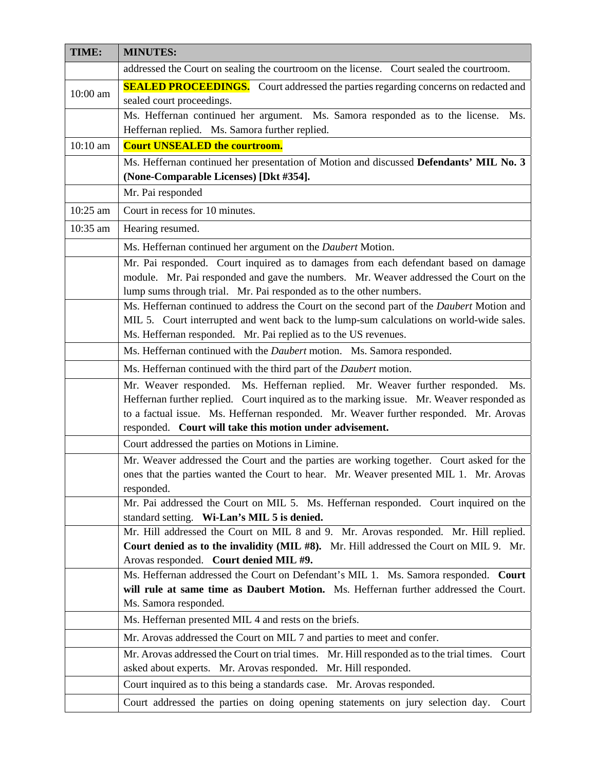| TIME:      | <b>MINUTES:</b>                                                                                                                                                                              |
|------------|----------------------------------------------------------------------------------------------------------------------------------------------------------------------------------------------|
|            | addressed the Court on sealing the courtroom on the license. Court sealed the courtroom.                                                                                                     |
| 10:00 am   | <b>SEALED PROCEEDINGS.</b> Court addressed the parties regarding concerns on redacted and<br>sealed court proceedings.                                                                       |
|            | Ms. Heffernan continued her argument. Ms. Samora responded as to the license.<br>Ms.<br>Heffernan replied. Ms. Samora further replied.                                                       |
| $10:10$ am | <b>Court UNSEALED the courtroom.</b>                                                                                                                                                         |
|            | Ms. Heffernan continued her presentation of Motion and discussed Defendants' MIL No. 3                                                                                                       |
|            | (None-Comparable Licenses) [Dkt #354].                                                                                                                                                       |
|            | Mr. Pai responded                                                                                                                                                                            |
| 10:25 am   | Court in recess for 10 minutes.                                                                                                                                                              |
| 10:35 am   | Hearing resumed.                                                                                                                                                                             |
|            | Ms. Heffernan continued her argument on the Daubert Motion.                                                                                                                                  |
|            | Mr. Pai responded. Court inquired as to damages from each defendant based on damage                                                                                                          |
|            | module. Mr. Pai responded and gave the numbers. Mr. Weaver addressed the Court on the                                                                                                        |
|            | lump sums through trial. Mr. Pai responded as to the other numbers.                                                                                                                          |
|            | Ms. Heffernan continued to address the Court on the second part of the <i>Daubert</i> Motion and<br>MIL 5. Court interrupted and went back to the lump-sum calculations on world-wide sales. |
|            | Ms. Heffernan responded. Mr. Pai replied as to the US revenues.                                                                                                                              |
|            | Ms. Heffernan continued with the Daubert motion. Ms. Samora responded.                                                                                                                       |
|            | Ms. Heffernan continued with the third part of the Daubert motion.                                                                                                                           |
|            | Mr. Weaver responded. Ms. Heffernan replied. Mr. Weaver further responded.<br>Ms.                                                                                                            |
|            | Heffernan further replied. Court inquired as to the marking issue. Mr. Weaver responded as                                                                                                   |
|            | to a factual issue. Ms. Heffernan responded. Mr. Weaver further responded. Mr. Arovas                                                                                                        |
|            | responded. Court will take this motion under advisement.                                                                                                                                     |
|            | Court addressed the parties on Motions in Limine.<br>Mr. Weaver addressed the Court and the parties are working together. Court asked for the                                                |
|            | ones that the parties wanted the Court to hear. Mr. Weaver presented MIL 1. Mr. Arovas                                                                                                       |
|            | responded.                                                                                                                                                                                   |
|            | Mr. Pai addressed the Court on MIL 5. Ms. Heffernan responded. Court inquired on the                                                                                                         |
|            | standard setting. Wi-Lan's MIL 5 is denied.                                                                                                                                                  |
|            | Mr. Hill addressed the Court on MIL 8 and 9. Mr. Arovas responded. Mr. Hill replied.<br>Court denied as to the invalidity (MIL #8). Mr. Hill addressed the Court on MIL 9. Mr.               |
|            | Arovas responded. Court denied MIL #9.                                                                                                                                                       |
|            | Ms. Heffernan addressed the Court on Defendant's MIL 1. Ms. Samora responded. Court                                                                                                          |
|            | will rule at same time as Daubert Motion. Ms. Heffernan further addressed the Court.                                                                                                         |
|            | Ms. Samora responded.                                                                                                                                                                        |
|            | Ms. Heffernan presented MIL 4 and rests on the briefs.                                                                                                                                       |
|            | Mr. Arovas addressed the Court on MIL 7 and parties to meet and confer.                                                                                                                      |
|            | Mr. Arovas addressed the Court on trial times. Mr. Hill responded as to the trial times. Court<br>asked about experts. Mr. Arovas responded. Mr. Hill responded.                             |
|            | Court inquired as to this being a standards case. Mr. Arovas responded.                                                                                                                      |
|            | Court addressed the parties on doing opening statements on jury selection day.<br>Court                                                                                                      |
|            |                                                                                                                                                                                              |